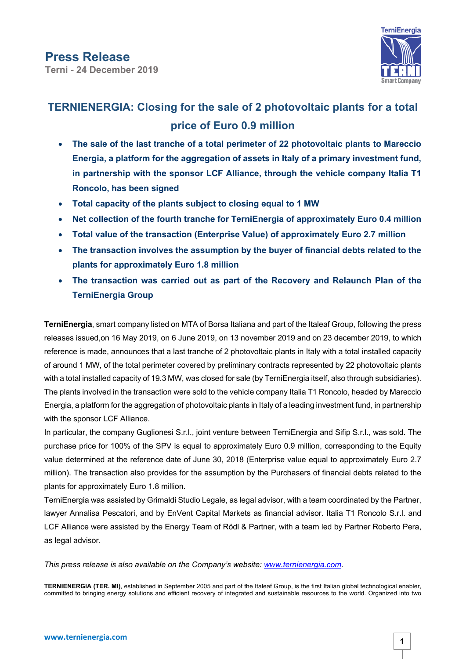

## **TERNIENERGIA: Closing for the sale of 2 photovoltaic plants for a total price of Euro 0.9 million**

- **The sale of the last tranche of a total perimeter of 22 photovoltaic plants to Mareccio Energia, a platform for the aggregation of assets in Italy of a primary investment fund, in partnership with the sponsor LCF Alliance, through the vehicle company Italia T1 Roncolo, has been signed**
- **Total capacity of the plants subject to closing equal to 1 MW**
- **Net collection of the fourth tranche for TerniEnergia of approximately Euro 0.4 million**
- **Total value of the transaction (Enterprise Value) of approximately Euro 2.7 million**
- **The transaction involves the assumption by the buyer of financial debts related to the plants for approximately Euro 1.8 million**
- **The transaction was carried out as part of the Recovery and Relaunch Plan of the TerniEnergia Group**

**TerniEnergia**, smart company listed on MTA of Borsa Italiana and part of the Italeaf Group, following the press releases issued,on 16 May 2019, on 6 June 2019, on 13 november 2019 and on 23 december 2019, to which reference is made, announces that a last tranche of 2 photovoltaic plants in Italy with a total installed capacity of around 1 MW, of the total perimeter covered by preliminary contracts represented by 22 photovoltaic plants with a total installed capacity of 19.3 MW, was closed for sale (by TerniEnergia itself, also through subsidiaries). The plants involved in the transaction were sold to the vehicle company Italia T1 Roncolo, headed by Mareccio Energia, a platform for the aggregation of photovoltaic plants in Italy of a leading investment fund, in partnership with the sponsor LCF Alliance.

In particular, the company Guglionesi S.r.l., joint venture between TerniEnergia and Sifip S.r.l., was sold. The purchase price for 100% of the SPV is equal to approximately Euro 0.9 million, corresponding to the Equity value determined at the reference date of June 30, 2018 (Enterprise value equal to approximately Euro 2.7 million). The transaction also provides for the assumption by the Purchasers of financial debts related to the plants for approximately Euro 1.8 million.

TerniEnergia was assisted by Grimaldi Studio Legale, as legal advisor, with a team coordinated by the Partner, lawyer Annalisa Pescatori, and by EnVent Capital Markets as financial advisor. Italia T1 Roncolo S.r.l. and LCF Alliance were assisted by the Energy Team of Rödl & Partner, with a team led by Partner Roberto Pera, as legal advisor.

*This press release is also available on the Company's website: www.ternienergia.com.*

**TERNIENERGIA (TER. MI)**, established in September 2005 and part of the Italeaf Group, is the first Italian global technological enabler, committed to bringing energy solutions and efficient recovery of integrated and sustainable resources to the world. Organized into two